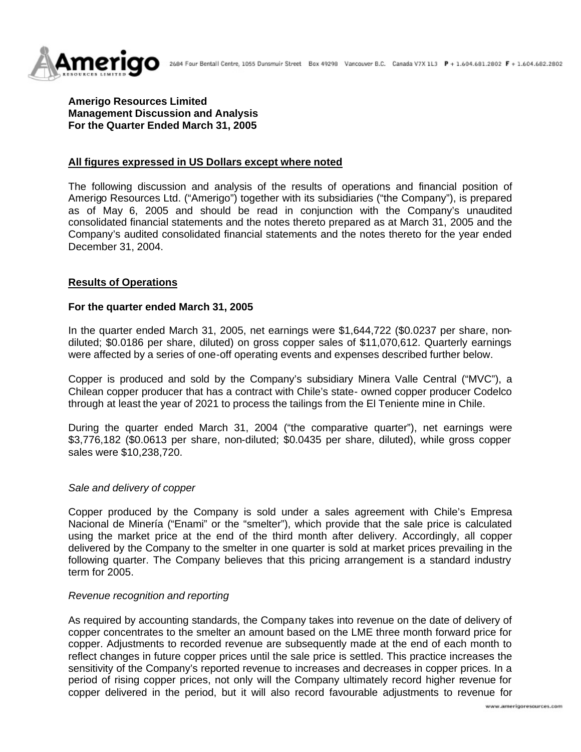



**Amerigo Resources Limited Management Discussion and Analysis For the Quarter Ended March 31, 2005**

# **All figures expressed in US Dollars except where noted**

The following discussion and analysis of the results of operations and financial position of Amerigo Resources Ltd. ("Amerigo") together with its subsidiaries ("the Company"), is prepared as of May 6, 2005 and should be read in conjunction with the Company's unaudited consolidated financial statements and the notes thereto prepared as at March 31, 2005 and the Company's audited consolidated financial statements and the notes thereto for the year ended December 31, 2004.

## **Results of Operations**

### **For the quarter ended March 31, 2005**

In the quarter ended March 31, 2005, net earnings were \$1,644,722 (\$0.0237 per share, nondiluted; \$0.0186 per share, diluted) on gross copper sales of \$11,070,612. Quarterly earnings were affected by a series of one-off operating events and expenses described further below.

Copper is produced and sold by the Company's subsidiary Minera Valle Central ("MVC"), a Chilean copper producer that has a contract with Chile's state- owned copper producer Codelco through at least the year of 2021 to process the tailings from the El Teniente mine in Chile.

During the quarter ended March 31, 2004 ("the comparative quarter"), net earnings were \$3,776,182 (\$0.0613 per share, non-diluted; \$0.0435 per share, diluted), while gross copper sales were \$10,238,720.

### *Sale and delivery of copper*

Copper produced by the Company is sold under a sales agreement with Chile's Empresa Nacional de Minería ("Enami" or the "smelter"), which provide that the sale price is calculated using the market price at the end of the third month after delivery. Accordingly, all copper delivered by the Company to the smelter in one quarter is sold at market prices prevailing in the following quarter. The Company believes that this pricing arrangement is a standard industry term for 2005.

### *Revenue recognition and reporting*

As required by accounting standards, the Company takes into revenue on the date of delivery of copper concentrates to the smelter an amount based on the LME three month forward price for copper. Adjustments to recorded revenue are subsequently made at the end of each month to reflect changes in future copper prices until the sale price is settled. This practice increases the sensitivity of the Company's reported revenue to increases and decreases in copper prices. In a period of rising copper prices, not only will the Company ultimately record higher revenue for copper delivered in the period, but it will also record favourable adjustments to revenue for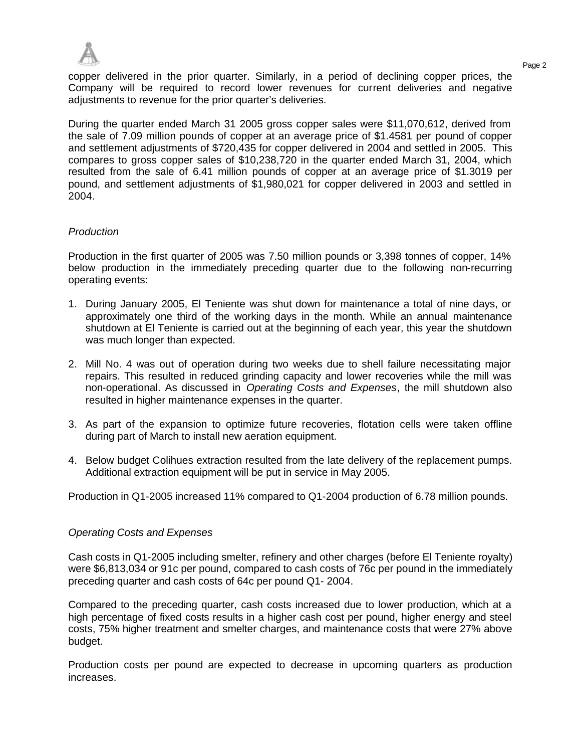

Page 2 copper delivered in the prior quarter. Similarly, in a period of declining copper prices, the Company will be required to record lower revenues for current deliveries and negative adiustments to revenue for the prior quarter's deliveries.

During the quarter ended March 31 2005 gross copper sales were \$11,070,612, derived from the sale of 7.09 million pounds of copper at an average price of \$1.4581 per pound of copper and settlement adjustments of \$720,435 for copper delivered in 2004 and settled in 2005. This compares to gross copper sales of \$10,238,720 in the quarter ended March 31, 2004, which resulted from the sale of 6.41 million pounds of copper at an average price of \$1.3019 per pound, and settlement adjustments of \$1,980,021 for copper delivered in 2003 and settled in 2004.

### *Production*

Production in the first quarter of 2005 was 7.50 million pounds or 3,398 tonnes of copper, 14% below production in the immediately preceding quarter due to the following non-recurring operating events:

- 1. During January 2005, El Teniente was shut down for maintenance a total of nine days, or approximately one third of the working days in the month. While an annual maintenance shutdown at El Teniente is carried out at the beginning of each year, this year the shutdown was much longer than expected.
- 2. Mill No. 4 was out of operation during two weeks due to shell failure necessitating major repairs. This resulted in reduced grinding capacity and lower recoveries while the mill was non-operational. As discussed in *Operating Costs and Expenses*, the mill shutdown also resulted in higher maintenance expenses in the quarter.
- 3. As part of the expansion to optimize future recoveries, flotation cells were taken offline during part of March to install new aeration equipment.
- 4. Below budget Colihues extraction resulted from the late delivery of the replacement pumps. Additional extraction equipment will be put in service in May 2005.

Production in Q1-2005 increased 11% compared to Q1-2004 production of 6.78 million pounds.

### *Operating Costs and Expenses*

Cash costs in Q1-2005 including smelter, refinery and other charges (before El Teniente royalty) were \$6,813,034 or 91c per pound, compared to cash costs of 76c per pound in the immediately preceding quarter and cash costs of 64c per pound Q1- 2004.

Compared to the preceding quarter, cash costs increased due to lower production, which at a high percentage of fixed costs results in a higher cash cost per pound, higher energy and steel costs, 75% higher treatment and smelter charges, and maintenance costs that were 27% above budget.

Production costs per pound are expected to decrease in upcoming quarters as production increases.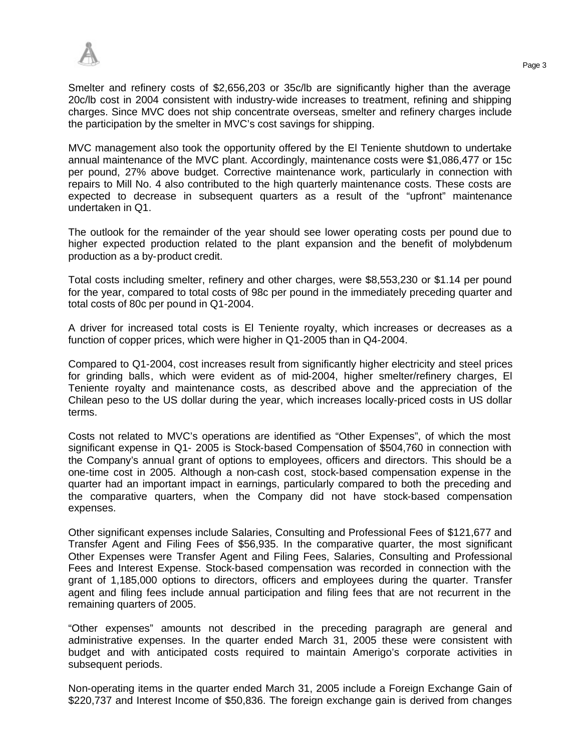Smelter and refinery costs of \$2,656,203 or 35c/lb are significantly higher than the average 20c/lb cost in 2004 consistent with industry-wide increases to treatment, refining and shipping charges. Since MVC does not ship concentrate overseas, smelter and refinery charges include the participation by the smelter in MVC's cost savings for shipping.

MVC management also took the opportunity offered by the El Teniente shutdown to undertake annual maintenance of the MVC plant. Accordingly, maintenance costs were \$1,086,477 or 15c per pound, 27% above budget. Corrective maintenance work, particularly in connection with repairs to Mill No. 4 also contributed to the high quarterly maintenance costs. These costs are expected to decrease in subsequent quarters as a result of the "upfront" maintenance undertaken in Q1.

The outlook for the remainder of the year should see lower operating costs per pound due to higher expected production related to the plant expansion and the benefit of molybdenum production as a by-product credit.

Total costs including smelter, refinery and other charges, were \$8,553,230 or \$1.14 per pound for the year, compared to total costs of 98c per pound in the immediately preceding quarter and total costs of 80c per pound in Q1-2004.

A driver for increased total costs is El Teniente royalty, which increases or decreases as a function of copper prices, which were higher in Q1-2005 than in Q4-2004.

Compared to Q1-2004, cost increases result from significantly higher electricity and steel prices for grinding balls, which were evident as of mid-2004, higher smelter/refinery charges, El Teniente royalty and maintenance costs, as described above and the appreciation of the Chilean peso to the US dollar during the year, which increases locally-priced costs in US dollar terms.

Costs not related to MVC's operations are identified as "Other Expenses", of which the most significant expense in Q1- 2005 is Stock-based Compensation of \$504,760 in connection with the Company's annual grant of options to employees, officers and directors. This should be a one-time cost in 2005. Although a non-cash cost, stock-based compensation expense in the quarter had an important impact in earnings, particularly compared to both the preceding and the comparative quarters, when the Company did not have stock-based compensation expenses.

Other significant expenses include Salaries, Consulting and Professional Fees of \$121,677 and Transfer Agent and Filing Fees of \$56,935. In the comparative quarter, the most significant Other Expenses were Transfer Agent and Filing Fees, Salaries, Consulting and Professional Fees and Interest Expense. Stock-based compensation was recorded in connection with the grant of 1,185,000 options to directors, officers and employees during the quarter. Transfer agent and filing fees include annual participation and filing fees that are not recurrent in the remaining quarters of 2005.

"Other expenses" amounts not described in the preceding paragraph are general and administrative expenses. In the quarter ended March 31, 2005 these were consistent with budget and with anticipated costs required to maintain Amerigo's corporate activities in subsequent periods.

Non-operating items in the quarter ended March 31, 2005 include a Foreign Exchange Gain of \$220,737 and Interest Income of \$50,836. The foreign exchange gain is derived from changes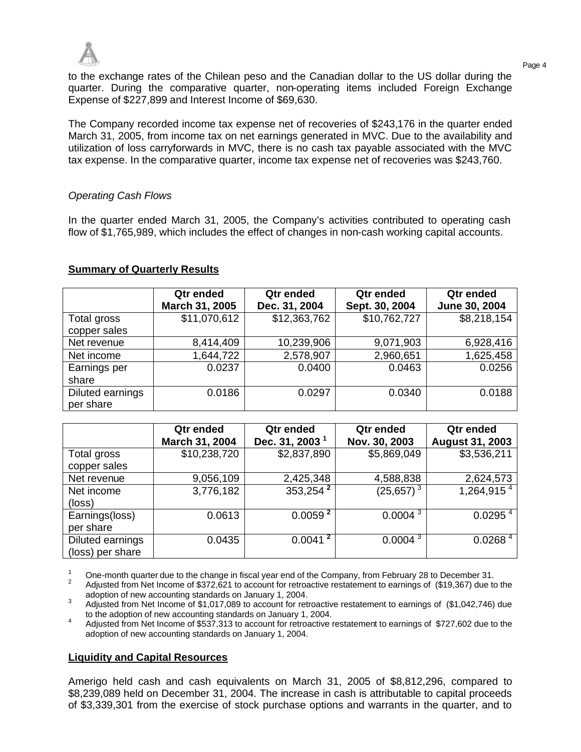

to the exchange rates of the Chilean peso and the Canadian dollar to the US dollar during the quarter. During the comparative quarter, non-operating items included Foreign Exchange Expense of \$227,899 and Interest Income of \$69,630.

The Company recorded income tax expense net of recoveries of \$243,176 in the quarter ended March 31, 2005, from income tax on net earnings generated in MVC. Due to the availability and utilization of loss carryforwards in MVC, there is no cash tax payable associated with the MVC tax expense. In the comparative quarter, income tax expense net of recoveries was \$243,760.

## *Operating Cash Flows*

In the quarter ended March 31, 2005, the Company's activities contributed to operating cash flow of \$1,765,989, which includes the effect of changes in non-cash working capital accounts.

## **Summary of Quarterly Results**

|                               | Qtr ended<br>March 31, 2005 | Qtr ended<br>Dec. 31, 2004 | Qtr ended<br>Sept. 30, 2004 | Qtr ended<br>June 30, 2004 |
|-------------------------------|-----------------------------|----------------------------|-----------------------------|----------------------------|
| Total gross<br>copper sales   | \$11,070,612                | \$12,363,762               | \$10,762,727                | \$8,218,154                |
| Net revenue                   | 8,414,409                   | 10,239,906                 | 9,071,903                   | 6,928,416                  |
| Net income                    | 1,644,722                   | 2,578,907                  | 2,960,651                   | 1,625,458                  |
| Earnings per<br>share         | 0.0237                      | 0.0400                     | 0.0463                      | 0.0256                     |
| Diluted earnings<br>per share | 0.0186                      | 0.0297                     | 0.0340                      | 0.0188                     |

|                  | Qtr ended      | Qtr ended                  | Qtr ended     | Qtr ended              |
|------------------|----------------|----------------------------|---------------|------------------------|
|                  | March 31, 2004 | Dec. 31, 2003 <sup>1</sup> | Nov. 30, 2003 | <b>August 31, 2003</b> |
| Total gross      | \$10,238,720   | \$2,837,890                | \$5,869,049   | \$3,536,211            |
| copper sales     |                |                            |               |                        |
| Net revenue      | 9,056,109      | 2,425,348                  | 4,588,838     | 2,624,573              |
| Net income       | 3,776,182      | $353,254^2$                | $(25,657)^3$  | 1,264,915 <sup>4</sup> |
| (loss)           |                |                            |               |                        |
| Earnings(loss)   | 0.0613         | 0.0059 <sup>2</sup>        | $0.0004^{3}$  | 0.0295 <sup>4</sup>    |
| per share        |                |                            |               |                        |
| Diluted earnings | 0.0435         | 0.0041 <sup>2</sup>        | $0.0004^{3}$  | 0.0268 <sup>4</sup>    |
| (loss) per share |                |                            |               |                        |

<sup>1</sup> One-month quarter due to the change in fiscal year end of the Company, from February 28 to December 31.

<sup>2</sup> Adjusted from Net Income of \$372,621 to account for retroactive restatement to earnings of (\$19,367) due to the adoption of new accounting standards on January 1, 2004.

<sup>3</sup> Adjusted from Net Income of \$1,017,089 to account for retroactive restatement to earnings of (\$1,042,746) due to the adoption of new accounting standards on January 1, 2004.

<sup>4</sup> Adjusted from Net Income of \$537,313 to account for retroactive restatement to earnings of \$727,602 due to the adoption of new accounting standards on January 1, 2004.

### **Liquidity and Capital Resources**

Amerigo held cash and cash equivalents on March 31, 2005 of \$8,812,296, compared to \$8,239,089 held on December 31, 2004. The increase in cash is attributable to capital proceeds of \$3,339,301 from the exercise of stock purchase options and warrants in the quarter, and to

Page 4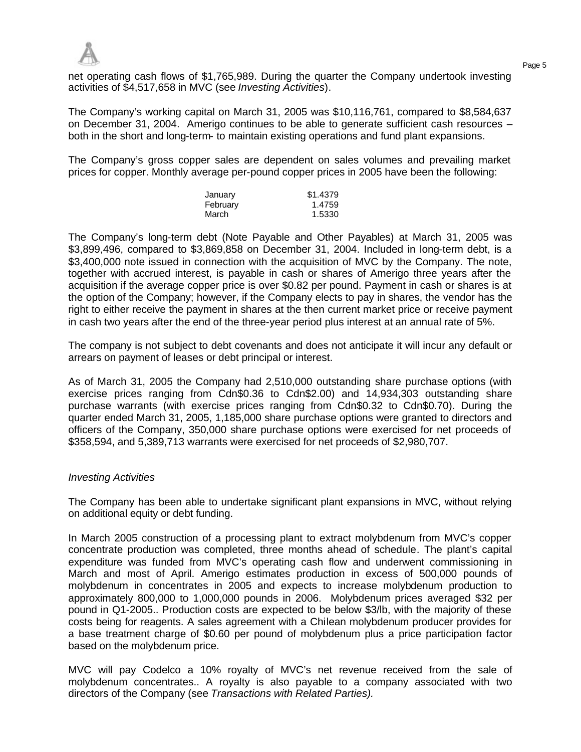net operating cash flows of \$1,765,989. During the quarter the Company undertook investing activities of \$4,517,658 in MVC (see *Investing Activities*).

The Company's working capital on March 31, 2005 was \$10,116,761, compared to \$8,584,637 on December 31, 2004. Amerigo continues to be able to generate sufficient cash resources – both in the short and long-term- to maintain existing operations and fund plant expansions.

The Company's gross copper sales are dependent on sales volumes and prevailing market prices for copper. Monthly average per-pound copper prices in 2005 have been the following:

| January  | \$1.4379 |
|----------|----------|
| February | 1.4759   |
| March    | 1.5330   |

The Company's long-term debt (Note Payable and Other Payables) at March 31, 2005 was \$3,899,496, compared to \$3,869,858 on December 31, 2004. Included in long-term debt, is a \$3,400,000 note issued in connection with the acquisition of MVC by the Company. The note, together with accrued interest, is payable in cash or shares of Amerigo three years after the acquisition if the average copper price is over \$0.82 per pound. Payment in cash or shares is at the option of the Company; however, if the Company elects to pay in shares, the vendor has the right to either receive the payment in shares at the then current market price or receive payment in cash two years after the end of the three-year period plus interest at an annual rate of 5%.

The company is not subject to debt covenants and does not anticipate it will incur any default or arrears on payment of leases or debt principal or interest.

As of March 31, 2005 the Company had 2,510,000 outstanding share purchase options (with exercise prices ranging from Cdn\$0.36 to Cdn\$2.00) and 14,934,303 outstanding share purchase warrants (with exercise prices ranging from Cdn\$0.32 to Cdn\$0.70). During the quarter ended March 31, 2005, 1,185,000 share purchase options were granted to directors and officers of the Company, 350,000 share purchase options were exercised for net proceeds of \$358,594, and 5,389,713 warrants were exercised for net proceeds of \$2,980,707.

### *Investing Activities*

The Company has been able to undertake significant plant expansions in MVC, without relying on additional equity or debt funding.

In March 2005 construction of a processing plant to extract molybdenum from MVC's copper concentrate production was completed, three months ahead of schedule. The plant's capital expenditure was funded from MVC's operating cash flow and underwent commissioning in March and most of April. Amerigo estimates production in excess of 500,000 pounds of molybdenum in concentrates in 2005 and expects to increase molybdenum production to approximately 800,000 to 1,000,000 pounds in 2006. Molybdenum prices averaged \$32 per pound in Q1-2005.. Production costs are expected to be below \$3/lb, with the majority of these costs being for reagents. A sales agreement with a Chilean molybdenum producer provides for a base treatment charge of \$0.60 per pound of molybdenum plus a price participation factor based on the molybdenum price.

MVC will pay Codelco a 10% royalty of MVC's net revenue received from the sale of molybdenum concentrates.. A royalty is also payable to a company associated with two directors of the Company (see *Transactions with Related Parties).*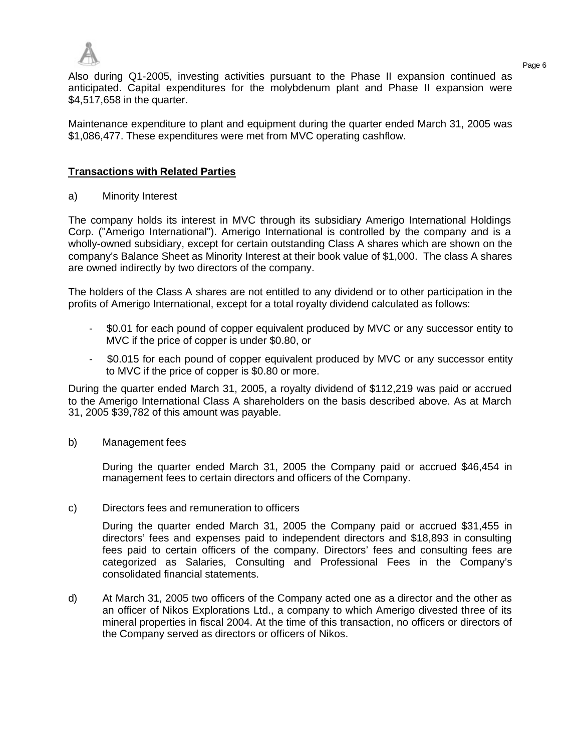

Page 6 Also during Q1-2005, investing activities pursuant to the Phase II expansion continued as anticipated. Capital expenditures for the molybdenum plant and Phase II expansion were \$4,517,658 in the quarter.

Maintenance expenditure to plant and equipment during the quarter ended March 31, 2005 was \$1,086,477. These expenditures were met from MVC operating cashflow.

## **Transactions with Related Parties**

a) Minority Interest

The company holds its interest in MVC through its subsidiary Amerigo International Holdings Corp. ("Amerigo International"). Amerigo International is controlled by the company and is a wholly-owned subsidiary, except for certain outstanding Class A shares which are shown on the company's Balance Sheet as Minority Interest at their book value of \$1,000. The class A shares are owned indirectly by two directors of the company.

The holders of the Class A shares are not entitled to any dividend or to other participation in the profits of Amerigo International, except for a total royalty dividend calculated as follows:

- \$0.01 for each pound of copper equivalent produced by MVC or any successor entity to MVC if the price of copper is under \$0.80, or
- \$0.015 for each pound of copper equivalent produced by MVC or any successor entity to MVC if the price of copper is \$0.80 or more.

During the quarter ended March 31, 2005, a royalty dividend of \$112,219 was paid or accrued to the Amerigo International Class A shareholders on the basis described above. As at March 31, 2005 \$39,782 of this amount was payable.

b) Management fees

During the quarter ended March 31, 2005 the Company paid or accrued \$46,454 in management fees to certain directors and officers of the Company.

c) Directors fees and remuneration to officers

During the quarter ended March 31, 2005 the Company paid or accrued \$31,455 in directors' fees and expenses paid to independent directors and \$18,893 in consulting fees paid to certain officers of the company. Directors' fees and consulting fees are categorized as Salaries, Consulting and Professional Fees in the Company's consolidated financial statements.

d) At March 31, 2005 two officers of the Company acted one as a director and the other as an officer of Nikos Explorations Ltd., a company to which Amerigo divested three of its mineral properties in fiscal 2004. At the time of this transaction, no officers or directors of the Company served as directors or officers of Nikos.